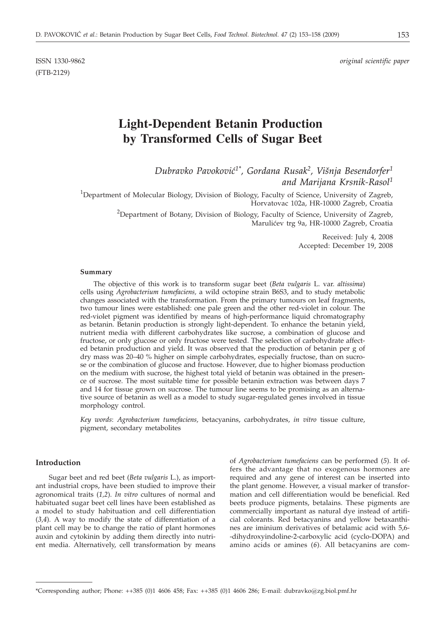(FTB-2129)

ISSN 1330-9862 *original scientific paper*

# **Light-Dependent Betanin Production by Transformed Cells of Sugar Beet**

*Dubravko Pavokovi}1\*, Gordana Rusak2, Vi{nja Besendorfer1 and Marijana Krsnik-Rasol1*

<sup>1</sup>Department of Molecular Biology, Division of Biology, Faculty of Science, University of Zagreb, Horvatovac 102a, HR-10000 Zagreb, Croatia

> <sup>2</sup>Department of Botany, Division of Biology, Faculty of Science, University of Zagreb, Maruli}ev trg 9a, HR-10000 Zagreb, Croatia

> > Received: July 4, 2008 Accepted: December 19, 2008

#### **Summary**

The objective of this work is to transform sugar beet (*Beta vulgaris* L. var. *altissima*) cells using *Agrobacterium tumefaciens,* a wild octopine strain B6S3, and to study metabolic changes associated with the transformation. From the primary tumours on leaf fragments, two tumour lines were established: one pale green and the other red-violet in colour. The red-violet pigment was identified by means of high-performance liquid chromatography as betanin. Betanin production is strongly light-dependent. To enhance the betanin yield, nutrient media with different carbohydrates like sucrose, a combination of glucose and fructose, or only glucose or only fructose were tested. The selection of carbohydrate affected betanin production and yield. It was observed that the production of betanin per g of dry mass was 20–40 % higher on simple carbohydrates, especially fructose, than on sucrose or the combination of glucose and fructose. However, due to higher biomass production on the medium with sucrose, the highest total yield of betanin was obtained in the presence of sucrose. The most suitable time for possible betanin extraction was between days 7 and 14 for tissue grown on sucrose. The tumour line seems to be promising as an alternative source of betanin as well as a model to study sugar-regulated genes involved in tissue morphology control.

*Key words*: *Agrobacterium tumefaciens,* betacyanins, carbohydrates, *in vitro* tissue culture, pigment, secondary metabolites

## **Introduction**

Sugar beet and red beet (*Beta vulgaris* L.), as important industrial crops, have been studied to improve their agronomical traits (*1,2*). *In vitro* cultures of normal and habituated sugar beet cell lines have been established as a model to study habituation and cell differentiation (*3,4*). A way to modify the state of differentiation of a plant cell may be to change the ratio of plant hormones auxin and cytokinin by adding them directly into nutrient media. Alternatively, cell transformation by means

of *Agrobacterium tumefaciens* can be performed (*5*). It offers the advantage that no exogenous hormones are required and any gene of interest can be inserted into the plant genome. However, a visual marker of transformation and cell differentiation would be beneficial. Red beets produce pigments, betalains. These pigments are commercially important as natural dye instead of artificial colorants. Red betacyanins and yellow betaxanthines are iminium derivatives of betalamic acid with 5,6- -dihydroxyindoline-2-carboxylic acid (cyclo-DOPA) and amino acids or amines (*6*). All betacyanins are com-

<sup>\*</sup>Corresponding author; Phone: ++385 (0)1 4606 458; Fax: ++385 (0)1 4606 286; E-mail: dubravko@zg.biol.pmf.hr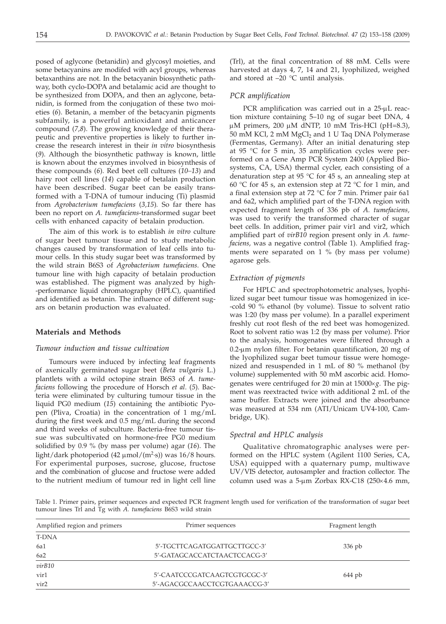posed of aglycone (betanidin) and glycosyl moieties, and some betacyanins are modifed with acyl groups, whereas betaxanthins are not. In the betacyanin biosynthetic pathway, both cyclo-DOPA and betalamic acid are thought to be synthesized from DOPA, and then an aglycone, betanidin, is formed from the conjugation of these two moieties (*6*). Betanin, a member of the betacyanin pigments subfamily, is a powerful antioxidant and anticancer compound (*7,8*). The growing knowledge of their therapeutic and preventive properties is likely to further increase the research interest in their *in vitro* biosynthesis (*9*). Although the biosynthetic pathway is known, little is known about the enzymes involved in biosynthesis of these compounds (*6*). Red beet cell cultures (*10–13*) and hairy root cell lines (*14*) capable of betalain production have been described. Sugar beet can be easily transformed with a T-DNA of tumour inducing (Ti) plasmid from *Agrobacterium tumefaciens* (*3,15*)*.* So far there has been no report on *A. tumefaciens*-transformed sugar beet cells with enhanced capacity of betalain production.

The aim of this work is to establish *in vitro* culture of sugar beet tumour tissue and to study metabolic changes caused by transformation of leaf cells into tumour cells. In this study sugar beet was transformed by the wild strain B6S3 of *Agrobacterium tumefaciens*. One tumour line with high capacity of betalain production was established. The pigment was analyzed by high- -performance liquid chromatography (HPLC), quantified and identified as betanin. The influence of different sugars on betanin production was evaluated.

#### **Materials and Methods**

# *Tumour induction and tissue cultivation*

Tumours were induced by infecting leaf fragments of axenically germinated sugar beet (*Beta vulgaris* L.) plantlets with a wild octopine strain B6S3 of *A. tumefaciens* following the procedure of Horsch *et al*. (*5*). Bacteria were eliminated by culturing tumour tissue in the liquid PG0 medium (*15*) containing the antibiotic Pyopen (Pliva, Croatia) in the concentration of 1 mg/mL during the first week and 0.5 mg/mL during the second and third weeks of subculture. Bacteria-free tumour tissue was subcultivated on hormone-free PG0 medium solidified by 0.9 % (by mass per volume) agar (*16*). The light/dark photoperiod  $(42 \mu \text{mol/(m}^2 \text{s}))$  was  $16/8$  hours.<br>For experimental purposes, sucrose, glucose, fructose For experimental purposes, sucrose, glucose, fructose and the combination of glucose and fructose were added to the nutrient medium of tumour red in light cell line

(Trl), at the final concentration of 88 mM. Cells were harvested at days 4, 7, 14 and 21, lyophilized, weighed and stored at  $-20$  °C until analysis.

# *PCR amplification*

PCR amplification was carried out in a  $25-\mu L$  reaction mixture containing 5–10 ng of sugar beet DNA, 4  $\mu$ M primers, 200  $\mu$ M dNTP, 10 mM Tris-HCl (pH=8.3), 50 mM KCl, 2 mM MgCl<sub>2</sub> and 1 U Taq DNA Polymerase (Fermentas, Germany). After an initial denaturing step at 95 °C for 5 min, 35 amplification cycles were performed on a Gene Amp PCR System 2400 (Applied Biosystems, CA, USA) thermal cycler, each consisting of a denaturation step at 95  $\degree$ C for 45 s, an annealing step at 60 °C for 45 s, an extension step at 72 °C for 1 min, and a final extension step at 72 °C for 7 min. Primer pair 6a1 and 6a2, which amplified part of the T-DNA region with expected fragment length of 336 pb of *A. tumefaciens,* was used to verify the transformed character of sugar beet cells. In addition, primer pair vir1 and vir2, which amplified part of *virB10* region present only in *A. tumefaciens,* was a negative control (Table 1). Amplified fragments were separated on 1 % (by mass per volume) agarose gels.

# *Extraction of pigments*

For HPLC and spectrophotometric analyses, lyophilized sugar beet tumour tissue was homogenized in ice- -cold 90 % ethanol (by volume). Tissue to solvent ratio was 1:20 (by mass per volume). In a parallel experiment freshly cut root flesh of the red beet was homogenized. Root to solvent ratio was 1:2 (by mass per volume). Prior to the analysis, homogenates were filtered through a  $0.2$ - $\mu$ m nylon filter. For betanin quantification, 20 mg of the lyophilized sugar beet tumour tissue were homogenized and resuspended in 1 mL of 80 % methanol (by volume) supplemented with 50 mM ascorbic acid. Homogenates were centrifuged for 20 min at 15000×g. The pigment was reextracted twice with additional 2 mL of the same buffer. Extracts were joined and the absorbance was measured at 534 nm (ATI/Unicam UV4-100, Cambridge, UK).

#### *Spectral and HPLC analysis*

Qualitative chromatographic analyses were performed on the HPLC system (Agilent 1100 Series, CA, USA) equipped with a quaternary pump, multiwave UV/VIS detector, autosampler and fraction collector. The column used was a 5-µm Zorbax RX-C18 (250 $\times$ 4.6 mm,

Table 1. Primer pairs, primer sequences and expected PCR fragment length used for verification of the transformation of sugar beet tumour lines Trl and Tg with *A. tumefaciens* B6S3 wild strain

| Primer sequences             | Fragment length |
|------------------------------|-----------------|
|                              |                 |
| 5'-TGCTTCAGATGGATTGCTTGCC-3' | $336$ pb        |
| 5'-GATAGCACCATCTAACTCCACG-3' |                 |
|                              |                 |
| 5'-CAATCCCGATCAAGTCGTGCGC-3' | $644$ pb        |
| 5'-AGACGCCAACCTCGTGAAACCG-3' |                 |
|                              |                 |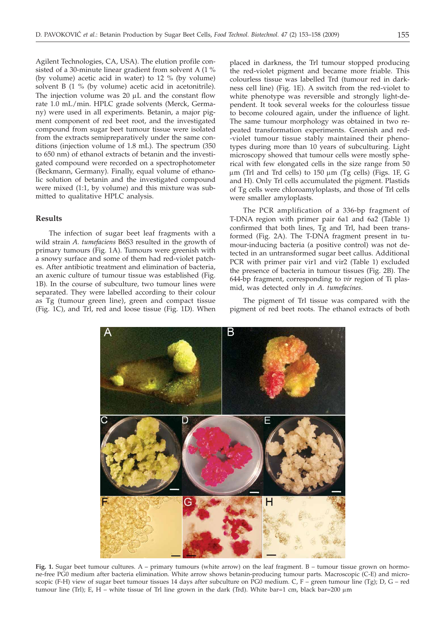Agilent Technologies, CA, USA). The elution profile consisted of a 30-minute linear gradient from solvent A (1 % (by volume) acetic acid in water) to 12 % (by volume) solvent B (1 % (by volume) acetic acid in acetonitrile). The injection volume was  $20 \mu L$  and the constant flow rate 1.0 mL/min. HPLC grade solvents (Merck, Germany) were used in all experiments. Betanin, a major pigment component of red beet root, and the investigated compound from sugar beet tumour tissue were isolated from the extracts semipreparatively under the same conditions (injection volume of 1.8 mL). The spectrum (350 to 650 nm) of ethanol extracts of betanin and the investigated compound were recorded on a spectrophotometer (Beckmann, Germany). Finally, equal volume of ethanolic solution of betanin and the investigated compound were mixed (1:1, by volume) and this mixture was submitted to qualitative HPLC analysis.

# **Results**

The infection of sugar beet leaf fragments with a wild strain *A. tumefaciens* B6S3 resulted in the growth of primary tumours (Fig. 1A). Tumours were greenish with a snowy surface and some of them had red-violet patches. After antibiotic treatment and elimination of bacteria, an axenic culture of tumour tissue was established (Fig. 1B). In the course of subculture, two tumour lines were separated. They were labelled according to their colour as Tg (tumour green line), green and compact tissue (Fig. 1C), and Trl, red and loose tissue (Fig. 1D). When

placed in darkness, the Trl tumour stopped producing the red-violet pigment and became more friable. This colourless tissue was labelled Trd (tumour red in darkness cell line) (Fig. 1E). A switch from the red-violet to white phenotype was reversible and strongly light-dependent. It took several weeks for the colourless tissue to become coloured again, under the influence of light. The same tumour morphology was obtained in two repeated transformation experiments. Greenish and red- -violet tumour tissue stably maintained their phenotypes during more than 10 years of subculturing. Light microscopy showed that tumour cells were mostly spherical with few elongated cells in the size range from 50  $\mu$ m (Trl and Trd cells) to 150  $\mu$ m (Tg cells) (Figs. 1F, G and H). Only Trl cells accumulated the pigment. Plastids of Tg cells were chloroamyloplasts, and those of Trl cells were smaller amyloplasts.

The PCR amplification of a 336-bp fragment of T-DNA region with primer pair 6a1 and 6a2 (Table 1) confirmed that both lines, Tg and Trl, had been transformed (Fig. 2A). The T-DNA fragment present in tumour-inducing bacteria (a positive control) was not detected in an untransformed sugar beet callus. Additional PCR with primer pair vir1 and vir2 (Table 1) excluded the presence of bacteria in tumour tissues (Fig. 2B). The 644-bp fragment, corresponding to *vir* region of Ti plasmid, was detected only in *A. tumefacines*.

The pigment of Trl tissue was compared with the pigment of red beet roots. The ethanol extracts of both



**Fig. 1.** Sugar beet tumour cultures. A – primary tumours (white arrow) on the leaf fragment. B – tumour tissue grown on hormone-free PG0 medium after bacteria elimination. White arrow shows betanin-producing tumour parts. Macroscopic (C-E) and microscopic (F-H) view of sugar beet tumour tissues 14 days after subculture on PG0 medium. C, F – green tumour line (Tg); D, G – red tumour line (Trl); E, H – white tissue of Trl line grown in the dark (Trd). White bar=1 cm, black bar=200  $\mu$ m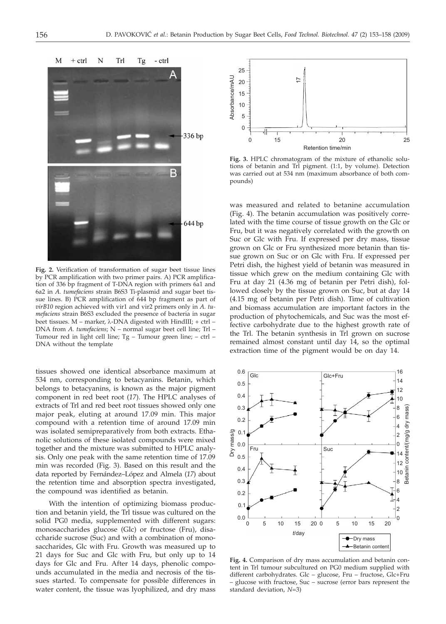

**Fig. 2.** Verification of transformation of sugar beet tissue lines by PCR amplification with two primer pairs. A) PCR amplification of 336 bp fragment of T-DNA region with primers 6a1 and 6a2 in *A. tumefaciens* strain B6S3 Ti-plasmid and sugar beet tissue lines. B) PCR amplification of 644 bp fragment as part of *virB10* region achieved with vir1 and vir2 primers only in *A. tumefaciens* strain B6S3 excluded the presence of bacteria in sugar beet tissues.  $M$  – marker,  $\lambda$ -DNA digested with HindIII; + ctrl – DNA from *A. tumefaciens*; N – normal sugar beet cell line; Trl – Tumour red in light cell line; Tg – Tumour green line; – ctrl – DNA without the template

tissues showed one identical absorbance maximum at 534 nm, corresponding to betacyanins. Betanin, which belongs to betacyanins, is known as the major pigment component in red beet root (*17*). The HPLC analyses of extracts of Trl and red beet root tissues showed only one major peak, eluting at around 17.09 min. This major compound with a retention time of around 17.09 min was isolated semipreparatively from both extracts. Ethanolic solutions of these isolated compounds were mixed together and the mixture was submitted to HPLC analysis. Only one peak with the same retention time of 17.09 min was recorded (Fig. 3). Based on this result and the data reported by Fernández–López and Almela (*17*) about the retention time and absorption spectra investigated, the compound was identified as betanin.

With the intention of optimizing biomass production and betanin yield, the Trl tissue was cultured on the solid PG0 media, supplemented with different sugars: monosaccharides glucose (Glc) or fructose (Fru), disaccharide sucrose (Suc) and with a combination of monosaccharides, Glc with Fru. Growth was measured up to 21 days for Suc and Glc with Fru, but only up to 14 days for Glc and Fru. After 14 days, phenolic compounds accumulated in the media and necrosis of the tissues started. To compensate for possible differences in water content, the tissue was lyophilized, and dry mass



**Fig. 3.** HPLC chromatogram of the mixture of ethanolic solutions of betanin and Trl pigment. (1:1, by volume). Detection was carried out at 534 nm (maximum absorbance of both compounds)

was measured and related to betanine accumulation (Fig. 4). The betanin accumulation was positively correlated with the time course of tissue growth on the Glc or Fru, but it was negatively correlated with the growth on Suc or Glc with Fru. If expressed per dry mass, tissue grown on Glc or Fru synthesized more betanin than tissue grown on Suc or on Glc with Fru. If expressed per Petri dish, the highest yield of betanin was measured in tissue which grew on the medium containing Glc with Fru at day 21 (4.36 mg of betanin per Petri dish), followed closely by the tissue grown on Suc, but at day 14 (4.15 mg of betanin per Petri dish). Time of cultivation and biomass accumulation are important factors in the production of phytochemicals, and Suc was the most effective carbohydrate due to the highest growth rate of the Trl. The betanin synthesis in Trl grown on sucrose remained almost constant until day 14, so the optimal extraction time of the pigment would be on day 14.



**Fig. 4.** Comparison of dry mass accumulation and betanin content in Trl tumour subcultured on PG0 medium supplied with different carbohydrates. Glc – glucose, Fru – fructose, Glc+Fru – glucose with fructose, Suc – sucrose (error bars represent the standard deviation, *N*=3)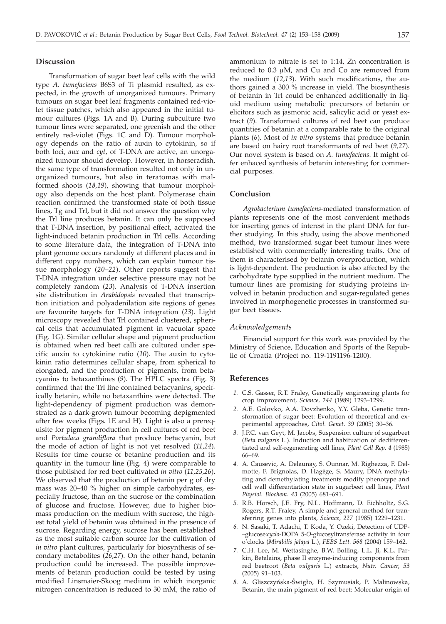#### **Discussion**

Transformation of sugar beet leaf cells with the wild type *A. tumefaciens* B6S3 of Ti plasmid resulted, as expected, in the growth of unorganized tumours. Primary tumours on sugar beet leaf fragments contained red-violet tissue patches, which also appeared in the initial tumour cultures (Figs. 1A and B). During subculture two tumour lines were separated, one greenish and the other entirely red-violet (Figs. 1C and D). Tumour morphology depends on the ratio of auxin to cytokinin, so if both loci, *aux* and *cyt*, of T-DNA are active, an unorganized tumour should develop. However, in horseradish, the same type of transformation resulted not only in unorganized tumours, but also in teratomas with malformed shoots (*18,19*), showing that tumour morphology also depends on the host plant. Polymerase chain reaction confirmed the transformed state of both tissue lines, Tg and Trl, but it did not answer the question why the Trl line produces betanin. It can only be supposed that T-DNA insertion, by positional effect, activated the light-induced betanin production in Trl cells. According to some literature data, the integration of T-DNA into plant genome occurs randomly at different places and in different copy numbers, which can explain tumour tissue morphology (*20–22*). Other reports suggest that T-DNA integration under selective pressure may not be completely random (*23*). Analysis of T-DNA insertion site distribution in *Arabidopsis* revealed that transcription initiation and polyadenilation site regions of genes are favourite targets for T-DNA integration (*23*). Light microscopy revealed that Trl contained clustered, spherical cells that accumulated pigment in vacuolar space (Fig. 1G). Similar cellular shape and pigment production is obtained when red beet calli are cultured under specific auxin to cytokinine ratio (*10*)*.* The auxin to cytokinin ratio determines cellular shape, from spherical to elongated, and the production of pigments, from betacyanins to betaxanthines (*9*)*.* The HPLC spectra (Fig. 3) confirmed that the Trl line contained betacyanins, specifically betanin, while no betaxanthins were detected. The light-dependency of pigment production was demonstrated as a dark-grown tumour becoming depigmented after few weeks (Figs. 1E and H). Light is also a prerequisite for pigment production in cell cultures of red beet and *Portulaca grandiflora* that produce betacyanin, but the mode of action of light is not yet resolved (*11*,*24*). Results for time course of betanine production and its quantity in the tumour line (Fig. 4) were comparable to those published for red beet cultivated *in vitro* (*11,25,26*). We observed that the production of betanin per g of dry mass was 20–40 % higher on simple carbohydrates, especially fructose, than on the sucrose or the combination of glucose and fructose. However, due to higher biomass production on the medium with sucrose, the highest total yield of betanin was obtained in the presence of sucrose. Regarding energy, sucrose has been established as the most suitable carbon source for the cultivation of *in vitro* plant cultures, particularly for biosynthesis of secondary metabolites (*26,27*). On the other hand, betanin production could be increased. The possible improvements of betanin production could be tested by using modified Linsmaier-Skoog medium in which inorganic nitrogen concentration is reduced to 30 mM, the ratio of

ammonium to nitrate is set to 1:14, Zn concentration is reduced to  $0.3 \mu M$ , and Cu and Co are removed from the medium (*12,13*). With such modifications, the authors gained a 300 % increase in yield. The biosynthesis of betanin in Trl could be enhanced additionally in liquid medium using metabolic precursors of betanin or elicitors such as jasmonic acid, salicylic acid or yeast extract (*9*). Transformed cultures of red beet can produce quantities of betanin at a comparable rate to the original plants (*6*). Most of *in vitro* systems that produce betanin are based on hairy root transformants of red beet (*9,27*). Our novel system is based on *A. tumefaciens.* It might offer enhaced synthesis of betanin interesting for commercial purposes.

# **Conclusion**

*Agrobacterium tumefaciens*-mediated transformation of plants represents one of the most convenient methods for inserting genes of interest in the plant DNA for further studying. In this study, using the above mentioned method, two transformed sugar beet tumour lines were established with commercially interesting traits. One of them is characterised by betanin overproduction, which is light-dependent. The production is also affected by the carbohydrate type supplied in the nutrient medium. The tumour lines are promising for studying proteins involved in betanin production and sugar-regulated genes involved in morphogenetic processes in transformed sugar beet tissues.

# *Acknowledgements*

Financial support for this work was provided by the Ministry of Science, Education and Sports of the Republic of Croatia (Project no. 119-1191196-1200).

### **References**

- *1.* C.S. Gasser, R.T. Fraley, Genetically engineering plants for crop improvement, *Science, 244* (1989) 1293–1299.
- *2.* A.E. Golovko, A.A. Dovzhenko, Y.Y. Gleba, Genetic transformation of sugar beet: Evolution of theoretical and experimental approaches, *Citol. Genet*. *39* (2005) 30–36.
- *3.* J.P.C. van Geyt, M. Jacobs, Suspension culture of sugarbeet (*Beta vulgaris* L.). Induction and habituation of dedifferentiated and self-regenerating cell lines, *Plant Cell Rep*. *4* (1985) 66–69.
- *4.* A. Causevic, A. Delaunay, S. Ounnar, M. Righezza, F. Delmotte, F. Brignolas, D. Hagège, S. Maury, DNA methylating and demethylating treatments modify phenotype and cell wall differentiation state in sugarbeet cell lines, *Plant Physiol. Biochem. 43* (2005) 681–691.
- *5.* R.B. Horsch, J.E. Fry, N.L. Hoffmann, D. Eichholtz, S.G. Rogers, R.T. Fraley, A simple and general method for transferring genes into plants, *Science, 227* (1985) 1229–1231.
- *6.* N. Sasaki, T. Adachi, T. Koda, Y. Ozeki, Detection of UDP- –glucose:*cyclo*-DOPA 5-*O*-glucosyltransferase activity in four o'clocks (*Mirabilis jalapa* L.), *FEBS Lett. 568* (2004) 159–162.
- *7.* C.H. Lee, M. Wettasinghe, B.W. Bolling, L.L. Ji, K.L. Parkin, Betalains, phase II enzyme-inducing components from red beetroot (*Beta vulgaris* L.) extracts, *Nutr. Cancer, 53* (2005) 91–103.
- 8. A. Gliszczyńska-Świgło, H. Szymusiak, P. Malinowska, Betanin, the main pigment of red beet: Molecular origin of